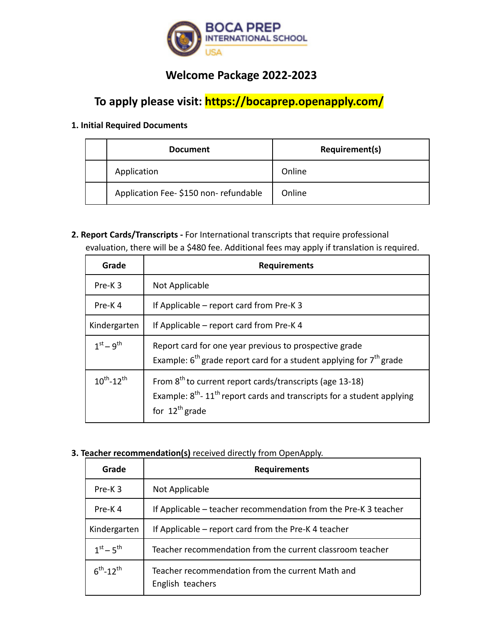

## **Welcome Package 2022-2023**

# **To apply please visit: https://bocaprep.openapply.com/**

### **1. Initial Required Documents**

| <b>Document</b>                      | Requirement(s) |
|--------------------------------------|----------------|
| Application                          | Online         |
| Application Fee-\$150 non-refundable | Online         |

**2. Report Cards/Transcripts -** For International transcripts that require professional evaluation, there will be a \$480 fee. Additional fees may apply if translation is required.

| Grade                       | <b>Requirements</b>                                                                                                                                                                     |
|-----------------------------|-----------------------------------------------------------------------------------------------------------------------------------------------------------------------------------------|
| Pre-K3                      | Not Applicable                                                                                                                                                                          |
| Pre-K4                      | If Applicable – report card from Pre-K 3                                                                                                                                                |
| Kindergarten                | If Applicable – report card from Pre-K 4                                                                                                                                                |
| $1^{st} - 9^{th}$           | Report card for one year previous to prospective grade<br>Example: $6^{th}$ grade report card for a student applying for $7^{th}$ grade                                                 |
| $10^{th}$ -12 <sup>th</sup> | From 8 <sup>th</sup> to current report cards/transcripts (age 13-18)<br>Example: $8^{th}$ - 11 <sup>th</sup> report cards and transcripts for a student applying<br>for $12^{th}$ grade |

### **3. Teacher recommendation(s)** received directly from OpenApply.

| Grade              | <b>Requirements</b>                                                  |
|--------------------|----------------------------------------------------------------------|
| Pre-K3             | Not Applicable                                                       |
| Pre-K4             | If Applicable – teacher recommendation from the Pre-K 3 teacher      |
| Kindergarten       | If Applicable – report card from the Pre-K 4 teacher                 |
| $1^{st} - 5^{th}$  | Teacher recommendation from the current classroom teacher            |
| $6^{th} - 12^{th}$ | Teacher recommendation from the current Math and<br>English teachers |